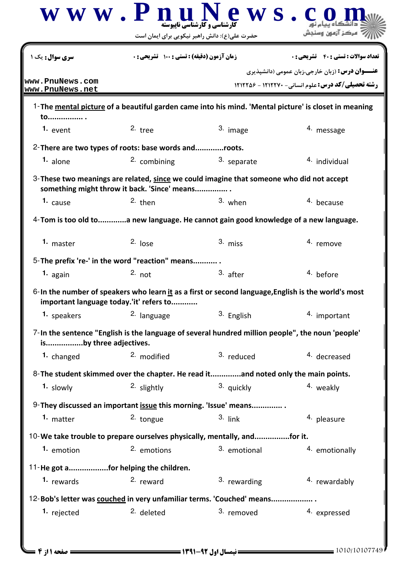|                                      | www.PnuN<br>حضرت علی(ع): دانش راهبر نیکویی برای ایمان است | ews.<br><b>کارشناسی و کارشناسی نایبوسته</b>                                                         | مركز آزمون وسنجش                                                                                                    |
|--------------------------------------|-----------------------------------------------------------|-----------------------------------------------------------------------------------------------------|---------------------------------------------------------------------------------------------------------------------|
| <b>سری سوال :</b> یک ۱               | زمان آزمون (دقيقه) : تستى : 100 تشريحي : 0                |                                                                                                     | <b>تعداد سوالات : تستی : 40 - تشریحی : 0</b>                                                                        |
| www.PnuNews.com<br>www.PnuNews.net   |                                                           |                                                                                                     | <b>عنـــوان درس:</b> (زبان خارجی،زبان عمومی (دانشیذیری<br><b>رشته تحصیلی/کد درس:</b> علوم انسانی- ۱۲۱۲۲۷۰ - ۱۲۱۲۲۵۶ |
|                                      |                                                           |                                                                                                     | 1-The mental picture of a beautiful garden came into his mind. 'Mental picture' is closet in meaning                |
| to .<br>1. event                     | $2.$ tree                                                 | 3. image                                                                                            | <sup>4</sup> message                                                                                                |
|                                      | 2- There are two types of roots: base words androots.     |                                                                                                     |                                                                                                                     |
| 1. alone                             | 2. combining                                              | 3. separate                                                                                         | 4. individual                                                                                                       |
|                                      | something might throw it back. 'Since' means              | 3-These two meanings are related, since we could imagine that someone who did not accept            |                                                                                                                     |
| 1. cause                             | $2.$ then                                                 | 3. when                                                                                             | 4. because                                                                                                          |
|                                      |                                                           | 4-Tom is too old toa new language. He cannot gain good knowledge of a new language.                 |                                                                                                                     |
| 1. master                            | $2.$ lose                                                 | 3. miss                                                                                             | 4. remove                                                                                                           |
|                                      | 5-The prefix 're-' in the word "reaction" means           |                                                                                                     |                                                                                                                     |
| 1. again                             | $2.$ not                                                  | 3. after                                                                                            | 4. before                                                                                                           |
|                                      | important language today.'it' refers to                   | 6-In the number of speakers who learn it as a first or second language, English is the world's most |                                                                                                                     |
| 1. speakers                          | 2. language                                               | 3. English                                                                                          | 4. important                                                                                                        |
| isby three adjectives.               |                                                           | 7-In the sentence "English is the language of several hundred million people", the noun 'people'    |                                                                                                                     |
| 1. changed                           | 2. modified                                               | 3. reduced                                                                                          | 4. decreased                                                                                                        |
|                                      |                                                           | 8- The student skimmed over the chapter. He read itand noted only the main points.                  |                                                                                                                     |
| 1. slowly                            | <sup>2.</sup> slightly                                    | 3. quickly                                                                                          | 4. weakly                                                                                                           |
|                                      |                                                           | 9- They discussed an important issue this morning. 'Issue' means                                    |                                                                                                                     |
| 1. matter                            | 2. tongue                                                 | $3.$ link                                                                                           | 4. pleasure                                                                                                         |
|                                      |                                                           | 10-We take trouble to prepare ourselves physically, mentally, andfor it.                            |                                                                                                                     |
| 1. emotion                           | 2. emotions                                               | 3. emotional                                                                                        | 4. emotionally                                                                                                      |
| 11-He got afor helping the children. |                                                           |                                                                                                     |                                                                                                                     |
| 1. rewards                           | 2. reward                                                 | $3.$ rewarding                                                                                      | 4. rewardably                                                                                                       |
|                                      |                                                           | 12-Bob's letter was couched in very unfamiliar terms. 'Couched' means                               |                                                                                                                     |
| 1. rejected                          | 2. deleted                                                | 3. removed                                                                                          | 4. expressed                                                                                                        |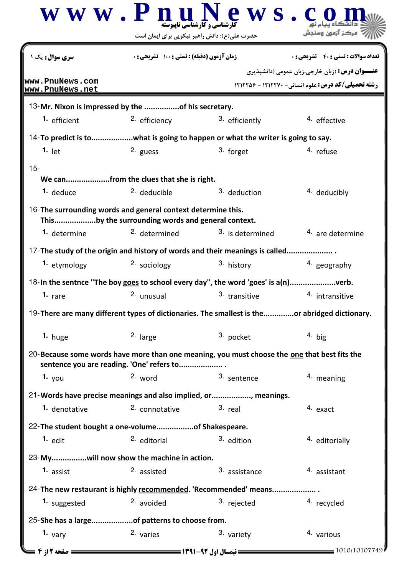|                                                              | $\bf W~\bf W~$ . $\bf P~\bf \underline{n}$ ارشناسی و کار شناسی ناپیوسته<br>حضرت علی(ع): دانش راهبر نیکویی برای ایمان است | ews.                                                                                          |                                                                                                                     |  |
|--------------------------------------------------------------|--------------------------------------------------------------------------------------------------------------------------|-----------------------------------------------------------------------------------------------|---------------------------------------------------------------------------------------------------------------------|--|
| <b>سری سوال :</b> یک                                         | زمان آزمون (دقيقه) : تستى : 100 تشريحي : 0                                                                               |                                                                                               | تعداد سوالات : تستي : 40 - تشريحي : 0                                                                               |  |
| www.PnuNews.com<br>www.PnuNews.net                           |                                                                                                                          |                                                                                               | <b>عنـــوان درس:</b> (زبان خارجی،زبان عمومی (دانشپذیری<br><b>رشته تحصیلی/کد درس:</b> علوم انسانی- ۱۲۱۲۲۷۰ - ۱۲۱۲۲۵۶ |  |
| 13-Mr. Nixon is impressed by the of his secretary.           |                                                                                                                          |                                                                                               |                                                                                                                     |  |
| <sup>1.</sup> efficient                                      | 2. efficiency                                                                                                            | 3. efficiently                                                                                | 4. effective                                                                                                        |  |
|                                                              |                                                                                                                          | 14-To predict is towhat is going to happen or what the writer is going to say.                |                                                                                                                     |  |
| $1.$ let                                                     | 2. guess                                                                                                                 | 3. forget                                                                                     | 4. refuse                                                                                                           |  |
| $15 -$                                                       |                                                                                                                          |                                                                                               |                                                                                                                     |  |
|                                                              | We canfrom the clues that she is right.                                                                                  |                                                                                               |                                                                                                                     |  |
| 1. deduce                                                    | <sup>2.</sup> deducible                                                                                                  | 3. deduction                                                                                  | 4. deducibly                                                                                                        |  |
| 16-The surrounding words and general context determine this. | Thisby the surrounding words and general context.                                                                        |                                                                                               |                                                                                                                     |  |
| 1. determine                                                 | <sup>2.</sup> determined                                                                                                 | 3. is determined                                                                              | 4. are determine                                                                                                    |  |
|                                                              |                                                                                                                          | 17-The study of the origin and history of words and their meanings is called                  |                                                                                                                     |  |
| 1. etymology                                                 | 2. sociology                                                                                                             | 3. history                                                                                    | 4. geography                                                                                                        |  |
|                                                              |                                                                                                                          | 18-In the sentnce "The boy goes to school every day", the word 'goes' is a(n)verb.            |                                                                                                                     |  |
| 1. $rare$                                                    | 2. unusual                                                                                                               | 3. transitive                                                                                 | 4. intransitive                                                                                                     |  |
|                                                              |                                                                                                                          | 19-There are many different types of dictionaries. The smallest is theor abridged dictionary. |                                                                                                                     |  |
| 1. huge                                                      | 2. large                                                                                                                 | 3. pocket                                                                                     | $4.$ big                                                                                                            |  |
|                                                              | sentence you are reading. 'One' refers to                                                                                | 20-Because some words have more than one meaning, you must choose the one that best fits the  |                                                                                                                     |  |
| 1. $you$                                                     | 2. word                                                                                                                  | 3. sentence                                                                                   | 4. meaning                                                                                                          |  |
|                                                              |                                                                                                                          | 21-Words have precise meanings and also implied, or, meanings.                                |                                                                                                                     |  |
| 1. denotative                                                | 2. connotative                                                                                                           | $3.$ real                                                                                     | 4. exact                                                                                                            |  |
| 22-The student bought a one-volumeof Shakespeare.            |                                                                                                                          |                                                                                               |                                                                                                                     |  |
| $1.$ edit                                                    | <sup>2.</sup> editorial                                                                                                  | 3. edition                                                                                    | 4. editorially                                                                                                      |  |
|                                                              |                                                                                                                          |                                                                                               |                                                                                                                     |  |
| 23-Mywill now show the machine in action.<br>1. assist       | 2. assisted                                                                                                              | 3. assistance                                                                                 | 4. assistant                                                                                                        |  |
|                                                              |                                                                                                                          |                                                                                               |                                                                                                                     |  |
|                                                              |                                                                                                                          | 24-The new restaurant is highly recommended. 'Recommended' means                              |                                                                                                                     |  |
| 1. suggested                                                 | 2. avoided                                                                                                               | 3. rejected                                                                                   | 4. recycled                                                                                                         |  |
| 25-She has a largeof patterns to choose from.                |                                                                                                                          |                                                                                               |                                                                                                                     |  |
| 1. $\nu$ ary                                                 | 2. varies                                                                                                                | 3. variety                                                                                    | 4. various                                                                                                          |  |
| <b>: صفحه 12ز 4 =</b>                                        |                                                                                                                          | <b>= نیمسال اول 92-1391 <del>====</del></b>                                                   | $= 1010/10107749$                                                                                                   |  |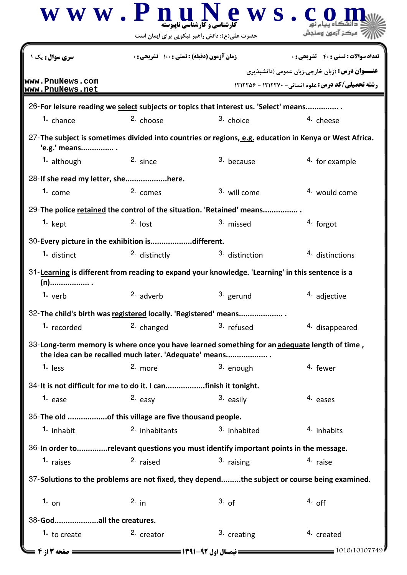|                                                                                                         | $\bf W \, \bf W \cdot \bf P \, \bf n$ ارشنامی و کارشناسی ناپیوسته<br>ews.<br>حضرت علی(ع): دانش راهبر نیکویی برای ایمان است |                                              | ہرکز آزہون                                                                                                          |  |
|---------------------------------------------------------------------------------------------------------|----------------------------------------------------------------------------------------------------------------------------|----------------------------------------------|---------------------------------------------------------------------------------------------------------------------|--|
| <b>سری سوال :</b> یک                                                                                    | زمان آزمون (دقيقه) : تستى : 100 تشريحي : 0                                                                                 |                                              | <b>تعداد سوالات : تستي : 40 ٪ تشريحي : 0</b>                                                                        |  |
| www.PnuNews.com<br>www.PnuNews.net                                                                      |                                                                                                                            |                                              | <b>عنـــوان درس:</b> (زبان خارجی،زبان عمومی (دانشپذیری<br><b>رشته تحصیلی/کد درس: علوم انسانی- ۱۲۱۲۲۷۰ - ۱۲۱۲۲۵۶</b> |  |
| 26-For leisure reading we select subjects or topics that interest us. 'Select' means                    |                                                                                                                            |                                              |                                                                                                                     |  |
| <sup>1.</sup> chance                                                                                    | <sup>2.</sup> choose                                                                                                       | 3. choice                                    | 4. cheese                                                                                                           |  |
| 'e.g.' means                                                                                            |                                                                                                                            |                                              | 27-The subject is sometimes divided into countries or regions, e.g. education in Kenya or West Africa.              |  |
| 1. although                                                                                             | 2. since                                                                                                                   | 3. because                                   | 4. for example                                                                                                      |  |
| 28-If she read my letter, shehere.                                                                      |                                                                                                                            |                                              |                                                                                                                     |  |
| 1. come                                                                                                 | 2. comes                                                                                                                   | 3. will come                                 | 4. would come                                                                                                       |  |
| 29-The police retained the control of the situation. 'Retained' means                                   |                                                                                                                            |                                              |                                                                                                                     |  |
| <sup>1.</sup> kept                                                                                      | $2.$ lost                                                                                                                  | 3. missed                                    | 4. forgot                                                                                                           |  |
| 30- Every picture in the exhibition isdifferent.                                                        |                                                                                                                            |                                              |                                                                                                                     |  |
| 1. distinct                                                                                             | 2. distinctly                                                                                                              | 3. distinction                               | 4. distinctions                                                                                                     |  |
| 31-Learning is different from reading to expand your knowledge. 'Learning' in this sentence is a<br>(n) |                                                                                                                            |                                              |                                                                                                                     |  |
| 1. $verb$                                                                                               | 2. adverb                                                                                                                  | 3. gerund                                    | 4. adjective                                                                                                        |  |
| 32-The child's birth was registered locally. 'Registered' means                                         |                                                                                                                            |                                              |                                                                                                                     |  |
| 1. recorded                                                                                             | 2. changed                                                                                                                 | 3. refused                                   | 4. disappeared                                                                                                      |  |
|                                                                                                         | the idea can be recalled much later. 'Adequate' means                                                                      |                                              | 33-Long-term memory is where once you have learned something for an adequate length of time,                        |  |
| $1.$ less                                                                                               | 2. more                                                                                                                    | 3. enough                                    | 4. fewer                                                                                                            |  |
| 34- It is not difficult for me to do it. I canfinish it tonight.                                        |                                                                                                                            |                                              |                                                                                                                     |  |
| 1. <sub>ease</sub>                                                                                      | 2. easy                                                                                                                    | 3. easily                                    | 4. eases                                                                                                            |  |
| 35-The old of this village are five thousand people.                                                    |                                                                                                                            |                                              |                                                                                                                     |  |
| 1. inhabit                                                                                              | 2. inhabitants                                                                                                             | 3. inhabited                                 | 4. inhabits                                                                                                         |  |
| 36-In order torelevant questions you must identify important points in the message.                     |                                                                                                                            |                                              |                                                                                                                     |  |
| 1. raises                                                                                               | 2. raised                                                                                                                  | 3. raising                                   | 4. raise                                                                                                            |  |
|                                                                                                         |                                                                                                                            |                                              | 37-Solutions to the problems are not fixed, they dependthe subject or course being examined.                        |  |
| 1. on                                                                                                   | 2. $in$                                                                                                                    | 3. of                                        | $4.$ off                                                                                                            |  |
| 38-Godall the creatures.                                                                                |                                                                                                                            |                                              |                                                                                                                     |  |
| 1. to create                                                                                            | 2. creator                                                                                                                 | 3. creating                                  | 4. created                                                                                                          |  |
| <b>صفحه 13 ; 4 =</b>                                                                                    |                                                                                                                            | <b>= نیمسال اول 92-1391 <del>=====</del></b> | $= 1010/10107749$                                                                                                   |  |